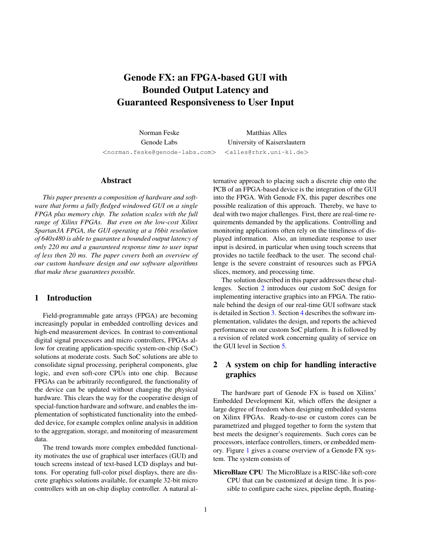# Genode FX: an FPGA-based GUI with Bounded Output Latency and Guaranteed Responsiveness to User Input

Norman Feske Matthias Alles Genode Labs University of Kaiserslautern <norman.feske@genode-labs.com> <alles@rhrk.uni-kl.de>

#### Abstract

*This paper presents a composition of hardware and software that forms a fully fledged windowed GUI on a single FPGA plus memory chip. The solution scales with the full range of Xilinx FPGAs. But even on the low-cost Xilinx Spartan3A FPGA, the GUI operating at a 16bit resolution of 640x480 is able to guarantee a bounded output latency of only 220 ms and a guaranteed response time to user input of less then 20 ms. The paper covers both an overview of our custom hardware design and our software algorithms that make these guarantees possible.*

# 1 Introduction

Field-programmable gate arrays (FPGA) are becoming increasingly popular in embedded controlling devices and high-end measurement devices. In contrast to conventional digital signal processors and micro controllers, FPGAs allow for creating application-specific system-on-chip (SoC) solutions at moderate costs. Such SoC solutions are able to consolidate signal processing, peripheral components, glue logic, and even soft-core CPUs into one chip. Because FPGAs can be arbitrarily reconfigured, the functionality of the device can be updated without changing the physical hardware. This clears the way for the cooperative design of special-function hardware and software, and enables the implementation of sophisticated functionality into the embedded device, for example complex online analysis in addition to the aggregation, storage, and monitoring of measurement data.

The trend towards more complex embedded functionality motivates the use of graphical user interfaces (GUI) and touch screens instead of text-based LCD displays and buttons. For operating full-color pixel displays, there are discrete graphics solutions available, for example 32-bit micro controllers with an on-chip display controller. A natural alternative approach to placing such a discrete chip onto the PCB of an FPGA-based device is the integration of the GUI into the FPGA. With Genode FX, this paper describes one possible realization of this approach. Thereby, we have to deal with two major challenges. First, there are real-time requirements demanded by the applications. Controlling and monitoring applications often rely on the timeliness of displayed information. Also, an immediate response to user input is desired, in particular when using touch screens that provides no tactile feedback to the user. The second challenge is the severe constraint of resources such as FPGA slices, memory, and processing time.

The solution described in this paper addresses these challenges. Section [2](#page-0-0) introduces our custom SoC design for implementing interactive graphics into an FPGA. The rationale behind the design of our real-time GUI software stack is detailed in Section [3.](#page-1-0) Section [4](#page-4-0) describes the software implementation, validates the design, and reports the achieved performance on our custom SoC platform. It is followed by a revision of related work concerning quality of service on the GUI level in Section [5.](#page-8-0)

# <span id="page-0-0"></span>2 A system on chip for handling interactive graphics

The hardware part of Genode FX is based on Xilinx' Embedded Development Kit, which offers the designer a large degree of freedom when designing embedded systems on Xilinx FPGAs. Ready-to-use or custom cores can be parametrized and plugged together to form the system that best meets the designer's requirements. Such cores can be processors, interface controllers, timers, or embedded memory. Figure [1](#page-1-1) gives a coarse overview of a Genode FX system. The system consists of

MicroBlaze CPU The MicroBlaze is a RISC-like soft-core CPU that can be customized at design time. It is possible to configure cache sizes, pipeline depth, floating-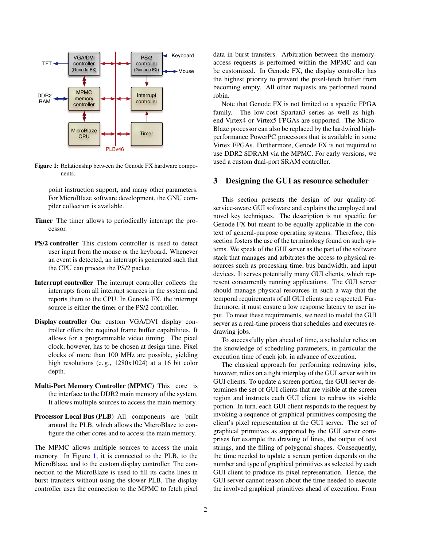

<span id="page-1-1"></span>Figure 1: Relationship between the Genode FX hardware components.

point instruction support, and many other parameters. For MicroBlaze software development, the GNU compiler collection is available.

- Timer The timer allows to periodically interrupt the processor.
- PS/2 controller This custom controller is used to detect user input from the mouse or the keyboard. Whenever an event is detected, an interrupt is generated such that the CPU can process the PS/2 packet.
- Interrupt controller The interrupt controller collects the interrupts from all interrupt sources in the system and reports them to the CPU. In Genode FX, the interrupt source is either the timer or the PS/2 controller.
- Display controller Our custom VGA/DVI display controller offers the required frame buffer capabilities. It allows for a programmable video timing. The pixel clock, however, has to be chosen at design time. Pixel clocks of more than 100 MHz are possible, yielding high resolutions (e.g., 1280x1024) at a 16 bit color depth.
- Multi-Port Memory Controller (MPMC) This core is the interface to the DDR2 main memory of the system. It allows multiple sources to access the main memory.
- Processor Local Bus (PLB) All components are built around the PLB, which allows the MicroBlaze to configure the other cores and to access the main memory.

The MPMC allows multiple sources to access the main memory. In Figure [1,](#page-1-1) it is connected to the PLB, to the MicroBlaze, and to the custom display controller. The connection to the MicroBlaze is used to fill its cache lines in burst transfers without using the slower PLB. The display controller uses the connection to the MPMC to fetch pixel data in burst transfers. Arbitration between the memoryaccess requests is performed within the MPMC and can be customized. In Genode FX, the display controller has the highest priority to prevent the pixel-fetch buffer from becoming empty. All other requests are performed round robin.

Note that Genode FX is not limited to a specific FPGA family. The low-cost Spartan3 series as well as highend Virtex4 or Virtex5 FPGAs are supported. The Micro-Blaze processor can also be replaced by the hardwired highperformance PowerPC processors that is available in some Virtex FPGAs. Furthermore, Genode FX is not required to use DDR2 SDRAM via the MPMC. For early versions, we used a custom dual-port SRAM controller.

#### <span id="page-1-0"></span>3 Designing the GUI as resource scheduler

This section presents the design of our quality-ofservice-aware GUI software and explains the employed and novel key techniques. The description is not specific for Genode FX but meant to be equally applicable in the context of general-purpose operating systems. Therefore, this section fosters the use of the terminology found on such systems. We speak of the GUI server as the part of the software stack that manages and arbitrates the access to physical resources such as processing time, bus bandwidth, and input devices. It serves potentially many GUI clients, which represent concurrently running applications. The GUI server should manage physical resources in such a way that the temporal requirements of all GUI clients are respected. Furthermore, it must ensure a low response latency to user input. To meet these requirements, we need to model the GUI server as a real-time process that schedules and executes redrawing jobs.

To successfully plan ahead of time, a scheduler relies on the knowledge of scheduling parameters, in particular the execution time of each job, in advance of execution.

The classical approach for performing redrawing jobs, however, relies on a tight interplay of the GUI server with its GUI clients. To update a screen portion, the GUI server determines the set of GUI clients that are visible at the screen region and instructs each GUI client to redraw its visible portion. In turn, each GUI client responds to the request by invoking a sequence of graphical primitives composing the client's pixel representation at the GUI server. The set of graphical primitives as supported by the GUI server comprises for example the drawing of lines, the output of text strings, and the filling of polygonal shapes. Consequently, the time needed to update a screen portion depends on the number and type of graphical primitives as selected by each GUI client to produce its pixel representation. Hence, the GUI server cannot reason about the time needed to execute the involved graphical primitives ahead of execution. From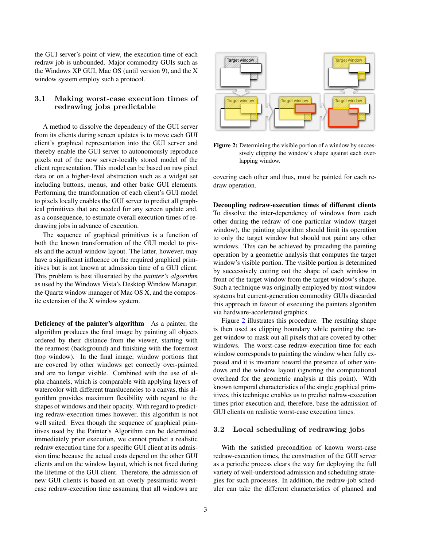the GUI server's point of view, the execution time of each redraw job is unbounded. Major commodity GUIs such as the Windows XP GUI, Mac OS (until version 9), and the X window system employ such a protocol.

# <span id="page-2-1"></span>3.1 Making worst-case execution times of redrawing jobs predictable

A method to dissolve the dependency of the GUI server from its clients during screen updates is to move each GUI client's graphical representation into the GUI server and thereby enable the GUI server to autonomously reproduce pixels out of the now server-locally stored model of the client representation. This model can be based on raw pixel data or on a higher-level abstraction such as a widget set including buttons, menus, and other basic GUI elements. Performing the transformation of each client's GUI model to pixels locally enables the GUI server to predict all graphical primitives that are needed for any screen update and, as a consequence, to estimate overall execution times of redrawing jobs in advance of execution.

The sequence of graphical primitives is a function of both the known transformation of the GUI model to pixels and the actual window layout. The latter, however, may have a significant influence on the required graphical primitives but is not known at admission time of a GUI client. This problem is best illustrated by the *painter's algorithm* as used by the Windows Vista's Desktop Window Manager, the Quartz window manager of Mac OS X, and the composite extension of the X window system.

Deficiency of the painter's algorithm As a painter, the algorithm produces the final image by painting all objects ordered by their distance from the viewer, starting with the rearmost (background) and finishing with the foremost (top window). In the final image, window portions that are covered by other windows get correctly over-painted and are no longer visible. Combined with the use of alpha channels, which is comparable with applying layers of watercolor with different translucencies to a canvas, this algorithm provides maximum flexibility with regard to the shapes of windows and their opacity. With regard to predicting redraw-execution times however, this algorithm is not well suited. Even though the sequence of graphical primitives used by the Painter's Algorithm can be determined immediately prior execution, we cannot predict a realistic redraw execution time for a specific GUI client at its admission time because the actual costs depend on the other GUI clients and on the window layout, which is not fixed during the lifetime of the GUI client. Therefore, the admission of new GUI clients is based on an overly pessimistic worstcase redraw-execution time assuming that all windows are



<span id="page-2-0"></span>Figure 2: Determining the visible portion of a window by successively clipping the window's shape against each overlapping window.

covering each other and thus, must be painted for each redraw operation.

Decoupling redraw-execution times of different clients To dissolve the inter-dependency of windows from each other during the redraw of one particular window (target window), the painting algorithm should limit its operation to only the target window but should not paint any other windows. This can be achieved by preceding the painting operation by a geometric analysis that computes the target window's visible portion. The visible portion is determined by successively cutting out the shape of each window in front of the target window from the target window's shape. Such a technique was originally employed by most window systems but current-generation commodity GUIs discarded this approach in favour of executing the painters algorithm via hardware-accelerated graphics.

Figure [2](#page-2-0) illustrates this procedure. The resulting shape is then used as clipping boundary while painting the target window to mask out all pixels that are covered by other windows. The worst-case redraw-execution time for each window corresponds to painting the window when fully exposed and it is invariant toward the presence of other windows and the window layout (ignoring the computational overhead for the geometric analysis at this point). With known temporal characteristics of the single graphical primitives, this technique enables us to predict redraw-execution times prior execution and, therefore, base the admission of GUI clients on realistic worst-case execution times.

### <span id="page-2-2"></span>3.2 Local scheduling of redrawing jobs

With the satisfied precondition of known worst-case redraw-execution times, the construction of the GUI server as a periodic process clears the way for deploying the full variety of well-understood admission and scheduling strategies for such processes. In addition, the redraw-job scheduler can take the different characteristics of planned and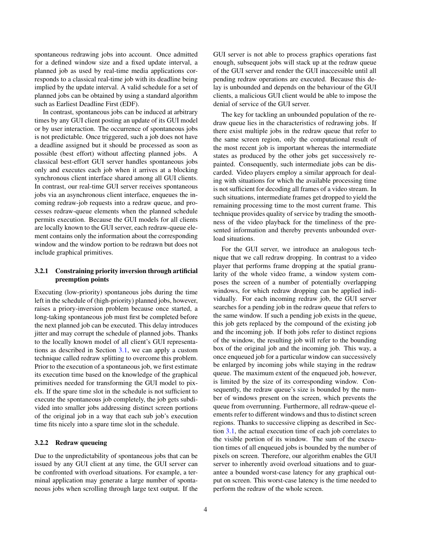spontaneous redrawing jobs into account. Once admitted for a defined window size and a fixed update interval, a planned job as used by real-time media applications corresponds to a classical real-time job with its deadline being implied by the update interval. A valid schedule for a set of planned jobs can be obtained by using a standard algorithm such as Earliest Deadline First (EDF).

In contrast, spontaneous jobs can be induced at arbitrary times by any GUI client posting an update of its GUI model or by user interaction. The occurrence of spontaneous jobs is not predictable. Once triggered, such a job does not have a deadline assigned but it should be processed as soon as possible (best effort) without affecting planned jobs. A classical best-effort GUI server handles spontaneous jobs only and executes each job when it arrives at a blocking synchronous client interface shared among all GUI clients. In contrast, our real-time GUI server receives spontaneous jobs via an asynchronous client interface, enqueues the incoming redraw-job requests into a redraw queue, and processes redraw-queue elements when the planned schedule permits execution. Because the GUI models for all clients are locally known to the GUI server, each redraw-queue element contains only the information about the corresponding window and the window portion to be redrawn but does not include graphical primitives.

# 3.2.1 Constraining priority inversion through artificial preemption points

Executing (low-priority) spontaneous jobs during the time left in the schedule of (high-priority) planned jobs, however, raises a priory-inversion problem because once started, a long-taking spontaneous job must first be completed before the next planned job can be executed. This delay introduces jitter and may corrupt the schedule of planned jobs. Thanks to the locally known model of all client's GUI representations as described in Section [3.1,](#page-2-1) we can apply a custom technique called redraw splitting to overcome this problem. Prior to the execution of a spontaneous job, we first estimate its execution time based on the knowledge of the graphical primitives needed for transforming the GUI model to pixels. If the spare time slot in the schedule is not sufficient to execute the spontaneous job completely, the job gets subdivided into smaller jobs addressing distinct screen portions of the original job in a way that each sub job's execution time fits nicely into a spare time slot in the schedule.

#### 3.2.2 Redraw queueing

Due to the unpredictability of spontaneous jobs that can be issued by any GUI client at any time, the GUI server can be confronted with overload situations. For example, a terminal application may generate a large number of spontaneous jobs when scrolling through large text output. If the GUI server is not able to process graphics operations fast enough, subsequent jobs will stack up at the redraw queue of the GUI server and render the GUI inaccessible until all pending redraw operations are executed. Because this delay is unbounded and depends on the behaviour of the GUI clients, a malicious GUI client would be able to impose the denial of service of the GUI server.

The key for tackling an unbounded population of the redraw queue lies in the characteristics of redrawing jobs. If there exist multiple jobs in the redraw queue that refer to the same screen region, only the computational result of the most recent job is important whereas the intermediate states as produced by the other jobs get successively repainted. Consequently, such intermediate jobs can be discarded. Video players employ a similar approach for dealing with situations for which the available processing time is not sufficient for decoding all frames of a video stream. In such situations, intermediate frames get dropped to yield the remaining processing time to the most current frame. This technique provides quality of service by trading the smoothness of the video playback for the timeliness of the presented information and thereby prevents unbounded overload situations.

For the GUI server, we introduce an analogous technique that we call redraw dropping. In contrast to a video player that performs frame dropping at the spatial granularity of the whole video frame, a window system composes the screen of a number of potentially overlapping windows, for which redraw dropping can be applied individually. For each incoming redraw job, the GUI server searches for a pending job in the redraw queue that refers to the same window. If such a pending job exists in the queue, this job gets replaced by the compound of the existing job and the incoming job. If both jobs refer to distinct regions of the window, the resulting job will refer to the bounding box of the original job and the incoming job. This way, a once enqueued job for a particular window can successively be enlarged by incoming jobs while staying in the redraw queue. The maximum extent of the enqueued job, however, is limited by the size of its corresponding window. Consequently, the redraw queue's size is bounded by the number of windows present on the screen, which prevents the queue from overrunning. Furthermore, all redraw-queue elements refer to different windows and thus to distinct screen regions. Thanks to successive clipping as described in Section [3.1,](#page-2-1) the actual execution time of each job correlates to the visible portion of its window. The sum of the execution times of all enqueued jobs is bounded by the number of pixels on screen. Therefore, our algorithm enables the GUI server to inherently avoid overload situations and to guarantee a bounded worst-case latency for any graphical output on screen. This worst-case latency is the time needed to perform the redraw of the whole screen.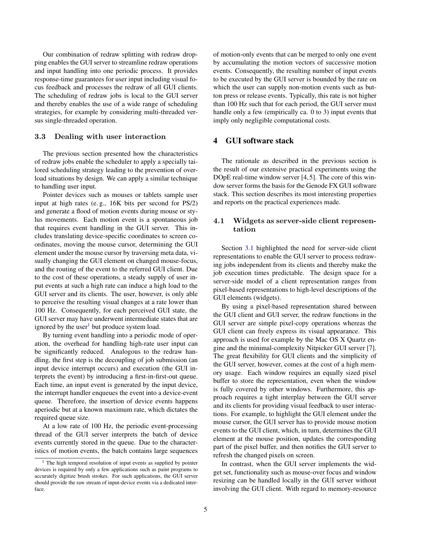Our combination of redraw splitting with redraw dropping enables the GUI server to streamline redraw operations and input handling into one periodic process. It provides response-time guarantees for user input including visual focus feedback and processes the redraw of all GUI clients. The scheduling of redraw jobs is local to the GUI server and thereby enables the use of a wide range of scheduling strategies, for example by considering multi-threaded versus single-threaded operation.

#### <span id="page-4-2"></span>3.3 Dealing with user interaction

The previous section presented how the characteristics of redraw jobs enable the scheduler to apply a specially tailored scheduling strategy leading to the prevention of overload situations by design. We can apply a similar technique to handling user input.

Pointer devices such as mouses or tablets sample user input at high rates (e. g., 16K bits per second for PS/2) and generate a flood of motion events during mouse or stylus movements. Each motion event is a spontaneous job that requires event handling in the GUI server. This includes translating device-specific coordinates to screen coordinates, moving the mouse cursor, determining the GUI element under the mouse cursor by traversing meta data, visually changing the GUI element on changed mouse-focus, and the routing of the event to the referred GUI client. Due to the cost of these operations, a steady supply of user input events at such a high rate can induce a high load to the GUI server and its clients. The user, however, is only able to perceive the resulting visual changes at a rate lower than 100 Hz. Consequently, for each perceived GUI state, the GUI server may have underwent intermediate states that are ignored by the user<sup>[1](#page-4-1)</sup> but produce system load.

By turning event handling into a periodic mode of operation, the overhead for handling high-rate user input can be significantly reduced. Analogous to the redraw handling, the first step is the decoupling of job submission (an input device interrupt occurs) and execution (the GUI interprets the event) by introducing a first-in-first-out queue. Each time, an input event is generated by the input device, the interrupt handler enqueues the event into a device-event queue. Therefore, the insertion of device events happens aperiodic but at a known maximum rate, which dictates the required queue size.

At a low rate of 100 Hz, the periodic event-processing thread of the GUI server interprets the batch of device events currently stored in the queue. Due to the characteristics of motion events, the batch contains large sequences of motion-only events that can be merged to only one event by accumulating the motion vectors of successive motion events. Consequently, the resulting number of input events to be executed by the GUI server is bounded by the rate on which the user can supply non-motion events such as button press or release events. Typically, this rate is not higher than 100 Hz such that for each period, the GUI server must handle only a few (empirically ca. 0 to 3) input events that imply only negligible computational costs.

#### <span id="page-4-0"></span>4 GUI software stack

The rationale as described in the previous section is the result of our extensive practical experiments using the DOpE real-time window server [4, 5]. The core of this window server forms the basis for the Genode FX GUI software stack. This section describes its most interesting properties and reports on the practical experiences made.

#### 4.1 Widgets as server-side client representation

Section [3.1](#page-2-1) highlighted the need for server-side client representations to enable the GUI server to process redrawing jobs independent from its clients and thereby make the job execution times predictable. The design space for a server-side model of a client representation ranges from pixel-based representations to high-level descriptions of the GUI elements (widgets).

By using a pixel-based representation shared between the GUI client and GUI server, the redraw functions in the GUI server are simple pixel-copy operations whereas the GUI client can freely express its visual appearance. This approach is used for example by the Mac OS X Quartz engine and the minimal-complexity Nitpicker GUI server [7]. The great flexibility for GUI clients and the simplicity of the GUI server, however, comes at the cost of a high memory usage. Each window requires an equally sized pixel buffer to store the representation, even when the window is fully covered by other windows. Furthermore, this approach requires a tight interplay between the GUI server and its clients for providing visual feedback to user interactions. For example, to highlight the GUI element under the mouse cursor, the GUI server has to provide mouse motion events to the GUI client, which, in turn, determines the GUI element at the mouse position, updates the corresponding part of the pixel buffer, and then notifies the GUI server to refresh the changed pixels on screen.

In contrast, when the GUI server implements the widget set, functionality such as mouse-over focus and window resizing can be handled locally in the GUI server without involving the GUI client. With regard to memory-resource

<span id="page-4-1"></span><sup>&</sup>lt;sup>1</sup> The high temporal resolution of input events as supplied by pointer devices is required by only a few applications such as paint programs to accurately digitize brush strokes. For such applications, the GUI server should provide the raw stream of input-device events via a dedicated interface.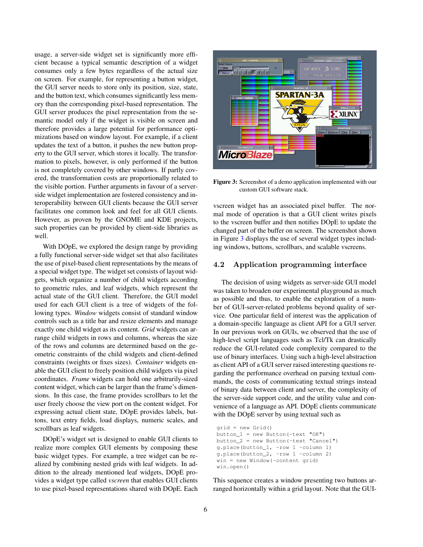usage, a server-side widget set is significantly more efficient because a typical semantic description of a widget consumes only a few bytes regardless of the actual size on screen. For example, for representing a button widget, the GUI server needs to store only its position, size, state, and the button text, which consumes significantly less memory than the corresponding pixel-based representation. The GUI server produces the pixel representation from the semantic model only if the widget is visible on screen and therefore provides a large potential for performance optimizations based on window layout. For example, if a client updates the text of a button, it pushes the new button property to the GUI server, which stores it locally. The transformation to pixels, however, is only performed if the button is not completely covered by other windows. If partly covered, the transformation costs are proportionally related to the visible portion. Further arguments in favour of a serverside widget implementation are fostered consistency and interoperability between GUI clients because the GUI server facilitates one common look and feel for all GUI clients. However, as proven by the GNOME and KDE projects, such properties can be provided by client-side libraries as well.

With DOpE, we explored the design range by providing a fully functional server-side widget set that also facilitates the use of pixel-based client representations by the means of a special widget type. The widget set consists of layout widgets, which organize a number of child widgets according to geometric rules, and leaf widgets, which represent the actual state of the GUI client. Therefore, the GUI model used for each GUI client is a tree of widgets of the following types. *Window* widgets consist of standard window controls such as a title bar and resize elements and manage exactly one child widget as its content. *Grid* widgets can arrange child widgets in rows and columns, whereas the size of the rows and columns are determined based on the geometric constraints of the child widgets and client-defined constraints (weights or fixes sizes). *Container* widgets enable the GUI client to freely position child widgets via pixel coordinates. *Frame* widgets can hold one arbitrarily-sized content widget, which can be larger than the frame's dimensions. In this case, the frame provides scrollbars to let the user freely choose the view port on the content widget. For expressing actual client state, DOpE provides labels, buttons, text entry fields, load displays, numeric scales, and scrollbars as leaf widgets.

DOpE's widget set is designed to enable GUI clients to realize more complex GUI elements by composing these basic widget types. For example, a tree widget can be realized by combining nested grids with leaf widgets. In addition to the already mentioned leaf widgets, DOpE provides a widget type called *vscreen* that enables GUI clients to use pixel-based representations shared with DOpE. Each



<span id="page-5-0"></span>Figure 3: Screenshot of a demo application implemented with our custom GUI software stack.

vscreen widget has an associated pixel buffer. The normal mode of operation is that a GUI client writes pixels to the vscreen buffer and then notifies DOpE to update the changed part of the buffer on screen. The screenshot shown in Figure [3](#page-5-0) displays the use of several widget types including windows, buttons, scrollbars, and scalable vscreens.

#### 4.2 Application programming interface

The decision of using widgets as server-side GUI model was taken to broaden our experimental playground as much as possible and thus, to enable the exploration of a number of GUI-server-related problems beyond quality of service. One particular field of interest was the application of a domain-specific language as client API for a GUI server. In our previous work on GUIs, we observed that the use of high-level script languages such as Tcl/Tk can drastically reduce the GUI-related code complexity compared to the use of binary interfaces. Using such a high-level abstraction as client API of a GUI server raised interesting questions regarding the performance overhead on parsing textual commands, the costs of communicating textual strings instead of binary data between client and server, the complexity of the server-side support code, and the utility value and convenience of a language as API. DOpE clients communicate with the DOpE server by using textual such as

```
grid = new Grid()
button_1 = new Button (-text "OK")
button_2 = new Button(-text "Cancel")
g.place(button_1, -row 1 -column 1)
g.place(button_2, -row 1 -column 2)
win = new Window(-content grid)
win.open()
```
This sequence creates a window presenting two buttons arranged horizontally within a grid layout. Note that the GUI-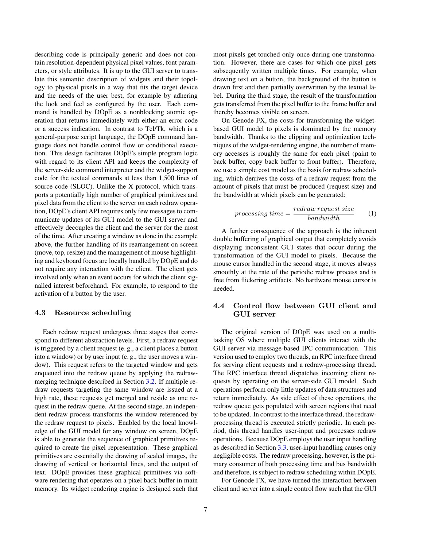describing code is principally generic and does not contain resolution-dependent physical pixel values, font parameters, or style attributes. It is up to the GUI server to translate this semantic description of widgets and their topology to physical pixels in a way that fits the target device and the needs of the user best, for example by adhering the look and feel as configured by the user. Each command is handled by DOpE as a nonblocking atomic operation that returns immediately with either an error code or a success indication. In contrast to Tcl/Tk, which is a general-purpose script language, the DOpE command language does not handle control flow or conditional execution. This design facilitates DOpE's simple program logic with regard to its client API and keeps the complexity of the server-side command interpreter and the widget-support code for the textual commands at less than 1,500 lines of source code (SLOC). Unlike the X protocol, which transports a potentially high number of graphical primitives and pixel data from the client to the server on each redraw operation, DOpE's client API requires only few messages to communicate updates of its GUI model to the GUI server and effectively decouples the client and the server for the most of the time. After creating a window as done in the example above, the further handling of its rearrangement on screen (move, top, resize) and the management of mouse highlighting and keyboard focus are locally handled by DOpE and do not require any interaction with the client. The client gets involved only when an event occurs for which the client signalled interest beforehand. For example, to respond to the activation of a button by the user.

#### <span id="page-6-0"></span>4.3 Resource scheduling

Each redraw request undergoes three stages that correspond to different abstraction levels. First, a redraw request is triggered by a client request (e. g., a client places a button into a window) or by user input (e. g., the user moves a window). This request refers to the targeted window and gets enqueued into the redraw queue by applying the redrawmerging technique described in Section [3.2.](#page-2-2) If multiple redraw requests targeting the same window are issued at a high rate, these requests get merged and reside as one request in the redraw queue. At the second stage, an independent redraw process transforms the window referenced by the redraw request to pixels. Enabled by the local knowledge of the GUI model for any window on screen, DOpE is able to generate the sequence of graphical primitives required to create the pixel representation. These graphical primitives are essentially the drawing of scaled images, the drawing of vertical or horizontal lines, and the output of text. DOpE provides these graphical primitives via software rendering that operates on a pixel back buffer in main memory. Its widget rendering engine is designed such that

most pixels get touched only once during one transformation. However, there are cases for which one pixel gets subsequently written multiple times. For example, when drawing text on a button, the background of the button is drawn first and then partially overwritten by the textual label. During the third stage, the result of the transformation gets transferred from the pixel buffer to the frame buffer and thereby becomes visible on screen.

On Genode FX, the costs for transforming the widgetbased GUI model to pixels is dominated by the memory bandwidth. Thanks to the clipping and optimization techniques of the widget-rendering engine, the number of memory accesses is roughly the same for each pixel (paint to back buffer, copy back buffer to front buffer). Therefore, we use a simple cost model as the basis for redraw scheduling, which derrives the costs of a redraw request from the amount of pixels that must be produced (request size) and the bandwidth at which pixels can be generated:

$$
processing\ time = \frac{redraw\ request\ size}{bandwidth} \tag{1}
$$

A further consequence of the approach is the inherent double buffering of graphical output that completely avoids displaying inconsistent GUI states that occur during the transformation of the GUI model to pixels. Because the mouse cursor handled in the second stage, it moves always smoothly at the rate of the periodic redraw process and is free from flickering artifacts. No hardware mouse cursor is needed.

# 4.4 Control flow between GUI client and GUI server

The original version of DOpE was used on a multitasking OS where multiple GUI clients interact with the GUI server via message-based IPC communication. This version used to employ two threads, an RPC interface thread for serving client requests and a redraw-processing thread. The RPC interface thread dispatches incoming client requests by operating on the server-side GUI model. Such operations perform only little updates of data structures and return immediately. As side effect of these operations, the redraw queue gets populated with screen regions that need to be updated. In contrast to the interface thread, the redrawprocessing thread is executed strictly periodic. In each period, this thread handles user-input and processes redraw operations. Because DOpE employs the user input handling as described in Section [3.3,](#page-4-2) user-input handling causes only negligible costs. The redraw processing, however, is the primary consumer of both processing time and bus bandwidth and therefore, is subject to redraw scheduling within DOpE.

For Genode FX, we have turned the interaction between client and server into a single control flow such that the GUI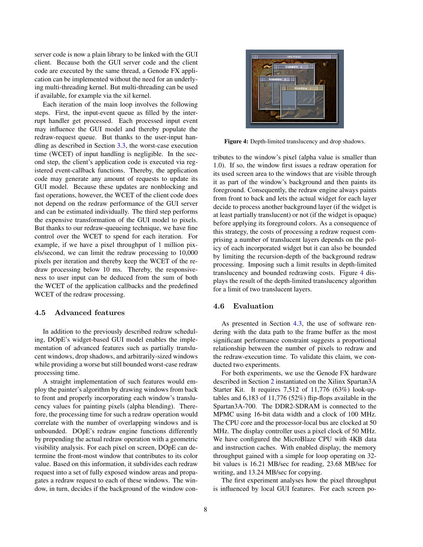server code is now a plain library to be linked with the GUI client. Because both the GUI server code and the client code are executed by the same thread, a Genode FX application can be implemented without the need for an underlying multi-threading kernel. But multi-threading can be used if available, for example via the xil kernel.

Each iteration of the main loop involves the following steps. First, the input-event queue as filled by the interrupt handler get processed. Each processed input event may influence the GUI model and thereby populate the redraw-request queue. But thanks to the user-input handling as described in Section [3.3,](#page-4-2) the worst-case execution time (WCET) of input handling is negligible. In the second step, the client's application code is executed via registered event-callback functions. Thereby, the application code may generate any amount of requests to update its GUI model. Because these updates are nonblocking and fast operations, however, the WCET of the client code does not depend on the redraw performance of the GUI server and can be estimated individually. The third step performs the expensive transformation of the GUI model to pixels. But thanks to our redraw-queueing technique, we have fine control over the WCET to spend for each iteration. For example, if we have a pixel throughput of 1 million pixels/second, we can limit the redraw processing to 10,000 pixels per iteration and thereby keep the WCET of the redraw processing below 10 ms. Thereby, the responsiveness to user input can be deduced from the sum of both the WCET of the application callbacks and the predefined WCET of the redraw processing.

#### 4.5 Advanced features

In addition to the previously described redraw scheduling, DOpE's widget-based GUI model enables the implementation of advanced features such as partially translucent windows, drop shadows, and arbitrarily-sized windows while providing a worse but still bounded worst-case redraw processing time.

A straight implementation of such features would employ the painter's algorithm by drawing windows from back to front and properly incorporating each window's translucency values for painting pixels (alpha blending). Therefore, the processing time for such a redraw operation would correlate with the number of overlapping windows and is unbounded. DOpE's redraw engine functions differently by prepending the actual redraw operation with a geometric visibility analysis. For each pixel on screen, DOpE can determine the front-most window that contributes to its color value. Based on this information, it subdivides each redraw request into a set of fully exposed window areas and propagates a redraw request to each of these windows. The window, in turn, decides if the background of the window con-



Figure 4: Depth-limited translucency and drop shadows.

<span id="page-7-0"></span>tributes to the window's pixel (alpha value is smaller than 1.0). If so, the window first issues a redraw operation for its used screen area to the windows that are visible through it as part of the window's background and then paints its foreground. Consequently, the redraw engine always paints from front to back and lets the actual widget for each layer decide to process another background layer (if the widget is at least partially translucent) or not (if the widget is opaque) before applying its foreground colors. As a consequence of this strategy, the costs of processing a redraw request comprising a number of translucent layers depends on the policy of each incorporated widget but it can also be bounded by limiting the recursion-depth of the background redraw processing. Imposing such a limit results in depth-limited translucency and bounded redrawing costs. Figure [4](#page-7-0) displays the result of the depth-limited translucency algorithm for a limit of two translucent layers.

#### 4.6 Evaluation

As presented in Section [4.3,](#page-6-0) the use of software rendering with the data path to the frame buffer as the most significant performance constraint suggests a proportional relationship between the number of pixels to redraw and the redraw-execution time. To validate this claim, we conducted two experiments.

For both experiments, we use the Genode FX hardware described in Section [2](#page-0-0) instantiated on the Xilinx Spartan3A Starter Kit. It requires 7,512 of 11,776 (63%) look-uptables and 6,183 of 11,776 (52%) flip-flops available in the Spartan3A-700. The DDR2-SDRAM is connected to the MPMC using 16-bit data width and a clock of 100 MHz. The CPU core and the processor-local bus are clocked at 50 MHz. The display controller uses a pixel clock of 50 MHz. We have configured the MicroBlaze CPU with 4KB data and instruction caches. With enabled display, the memory throughput gained with a simple for loop operating on 32 bit values is 16.21 MB/sec for reading, 23.68 MB/sec for writing, and 13.24 MB/sec for copying.

The first experiment analyses how the pixel throughput is influenced by local GUI features. For each screen po-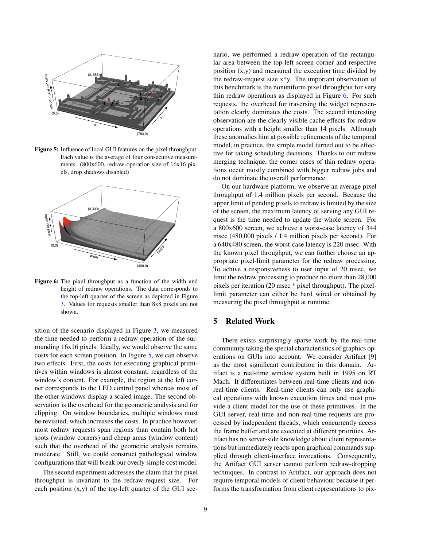

<span id="page-8-1"></span>Figure 5: Influence of local GUI features on the pixel throughput. Each value is the average of four consecutive measurements. (800x600, redraw-operation size of 16x16 pixels, drop shadows disabled)



<span id="page-8-2"></span>Figure 6: The pixel throughput as a function of the width and height of redraw operations. The data corresponds to the top-left quarter of the screen as depicted in Figure [3.](#page-5-0) Values for requests smaller than 8x8 pixels are not shown.

sition of the scenario displayed in Figure [3,](#page-5-0) we measured the time needed to perform a redraw operation of the surrounding 16x16 pixels. Ideally, we would observe the same costs for each screen position. In Figure [5,](#page-8-1) we can observe two effects. First, the costs for executing graphical primitives within windows is almost constant, regardless of the window's content. For example, the region at the left corner corresponds to the LED control panel whereas most of the other windows display a scaled image. The second observation is the overhead for the geometric analysis and for clipping. On window boundaries, multiple windows must be revisited, which increases the costs. In practice however, most redraw requests span regions than contain both hot spots (window corners) and cheap areas (window content) such that the overhead of the geometric analysis remains moderate. Still, we could construct pathological window configurations that will break our overly simple cost model.

The second experiment addresses the claim that the pixel throughput is invariant to the redraw-request size. For each position (x,y) of the top-left quarter of the GUI scenario, we performed a redraw operation of the rectangular area between the top-left screen corner and respective position (x,y) and measured the execution time divided by the redraw-request size x\*y. The important observation of this benchmark is the nonuniform pixel throughput for very thin redraw operations as displayed in Figure [6.](#page-8-2) For such requests, the overhead for traversing the widget representation clearly dominates the costs. The second interesting observation are the clearly visible cache effects for redraw operations with a height smaller than 14 pixels. Although these anomalies hint at possible refinements of the temporal model, in practice, the simple model turned out to be effective for taking scheduling decisions. Thanks to our redraw merging technique, the corner cases of thin redraw operations occur mostly combined with bigger redraw jobs and do not dominate the overall performance.

On our hardware platform, we observe an average pixel throughput of 1.4 million pixels per second. Because the upper limit of pending pixels to redraw is limited by the size of the screen, the maximum latency of serving any GUI request is the time needed to update the whole screen. For a 800x600 screen, we achieve a worst-case latency of 344 msec (480,000 pixels / 1.4 million pixels per second). For a 640x480 screen, the worst-case latency is 220 msec. With the known pixel throughput, we can further choose an appropriate pixel-limit parameter for the redraw processing. To achive a responsiveness to user input of 20 msec, we limit the redraw processing to produce no more than 28,000 pixels per iteration (20 msec \* pixel throughput). The pixellimit parameter can either be hard wired or obtained by measuring the pixel throughput at runtime.

# <span id="page-8-0"></span>5 Related Work

There exists surprisingly sparse work by the real-time community taking the special characteristics of graphics operations on GUIs into account. We consider Artifact [9] as the most significant contribution in this domain. Artifact is a real-time window system built in 1995 on RT Mach. It differentiates between real-time clients and nonreal-time clients. Real-time clients can only use graphical operations with known execution times and must provide a client model for the use of these primitives. In the GUI server, real-time and non-real-time requests are processed by independent threads, which concurrently access the frame buffer and are executed at different priorities. Artifact has no server-side knowledge about client representations but immediately reacts upon graphical commands supplied through client-interface invocations. Consequently, the Artifact GUI server cannot perform redraw-dropping techniques. In contrast to Artifact, our approach does not require temporal models of client behaviour because it performs the transformation from client representations to pix